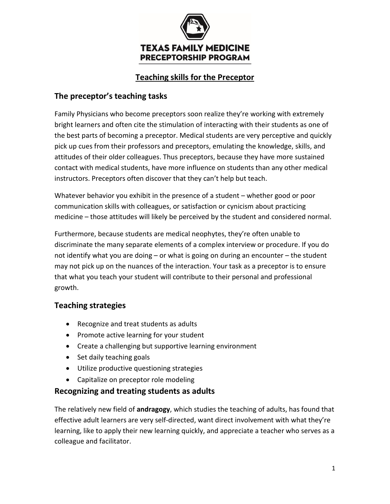

## **Teaching skills for the Preceptor**

#### **The preceptor's teaching tasks**

Family Physicians who become preceptors soon realize they're working with extremely bright learners and often cite the stimulation of interacting with their students as one of the best parts of becoming a preceptor. Medical students are very perceptive and quickly pick up cues from their professors and preceptors, emulating the knowledge, skills, and attitudes of their older colleagues. Thus preceptors, because they have more sustained contact with medical students, have more influence on students than any other medical instructors. Preceptors often discover that they can't help but teach.

Whatever behavior you exhibit in the presence of a student – whether good or poor communication skills with colleagues, or satisfaction or cynicism about practicing medicine – those attitudes will likely be perceived by the student and considered normal.

Furthermore, because students are medical neophytes, they're often unable to discriminate the many separate elements of a complex interview or procedure. If you do not identify what you are doing – or what is going on during an encounter – the student may not pick up on the nuances of the interaction. Your task as a preceptor is to ensure that what you teach your student will contribute to their personal and professional growth.

#### **Teaching strategies**

- Recognize and treat students as adults
- Promote active learning for your student
- Create a challenging but supportive learning environment
- Set daily teaching goals
- Utilize productive questioning strategies
- Capitalize on preceptor role modeling

#### **Recognizing and treating students as adults**

The relatively new field of **andragogy**, which studies the teaching of adults, has found that effective adult learners are very self-directed, want direct involvement with what they're learning, like to apply their new learning quickly, and appreciate a teacher who serves as a colleague and facilitator.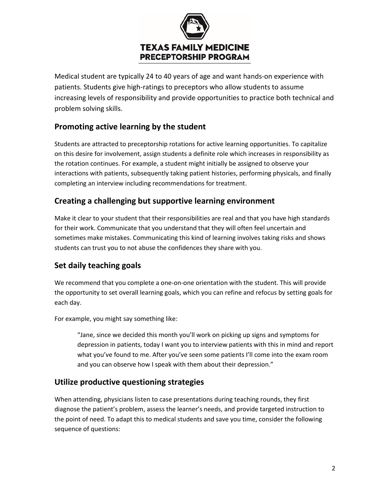

Medical student are typically 24 to 40 years of age and want hands-on experience with patients. Students give high-ratings to preceptors who allow students to assume increasing levels of responsibility and provide opportunities to practice both technical and problem solving skills.

### **Promoting active learning by the student**

Students are attracted to preceptorship rotations for active learning opportunities. To capitalize on this desire for involvement, assign students a definite role which increases in responsibility as the rotation continues. For example, a student might initially be assigned to observe your interactions with patients, subsequently taking patient histories, performing physicals, and finally completing an interview including recommendations for treatment.

### **Creating a challenging but supportive learning environment**

Make it clear to your student that their responsibilities are real and that you have high standards for their work. Communicate that you understand that they will often feel uncertain and sometimes make mistakes. Communicating this kind of learning involves taking risks and shows students can trust you to not abuse the confidences they share with you.

# **Set daily teaching goals**

We recommend that you complete a one-on-one orientation with the student. This will provide the opportunity to set overall learning goals, which you can refine and refocus by setting goals for each day.

For example, you might say something like:

"Jane, since we decided this month you'll work on picking up signs and symptoms for depression in patients, today I want you to interview patients with this in mind and report what you've found to me. After you've seen some patients I'll come into the exam room and you can observe how I speak with them about their depression."

### **Utilize productive questioning strategies**

When attending, physicians listen to case presentations during teaching rounds, they first diagnose the patient's problem, assess the learner's needs, and provide targeted instruction to the point of need. To adapt this to medical students and save you time, consider the following sequence of questions: